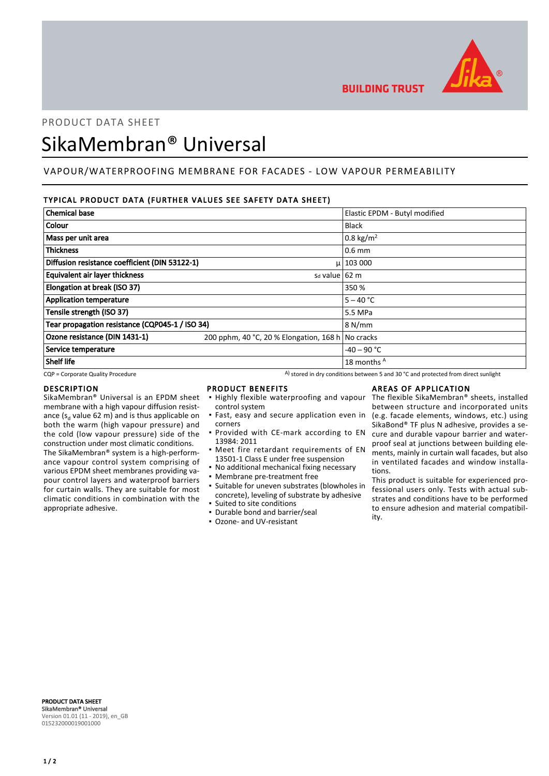

**BUILDING TRUST** 

# PRODUCT DATA SHEET

# SikaMembran® Universal

# VAPOUR/WATERPROOFING MEMBRANE FOR FACADES - LOW VAPOUR PERMEABILITY

# TYPICAL PRODUCT DATA (FURTHER VALUES SEE SAFETY DATA SHEET)

| <b>Chemical base</b>                            |                                                   | Elastic EPDM - Butyl modified |
|-------------------------------------------------|---------------------------------------------------|-------------------------------|
| Colour                                          |                                                   | Black                         |
| Mass per unit area                              |                                                   | 0.8 kg/m <sup>2</sup>         |
| <b>Thickness</b>                                |                                                   | $0.6$ mm                      |
| Diffusion resistance coefficient (DIN 53122-1)  |                                                   | $\mu$   103 000               |
| Equivalent air layer thickness                  | $sd$ value $62 \text{ m}$                         |                               |
| Elongation at break (ISO 37)                    |                                                   | 350 %                         |
| <b>Application temperature</b>                  |                                                   | $5 - 40 °C$                   |
| Tensile strength (ISO 37)                       |                                                   | 5.5 MPa                       |
| Tear propagation resistance (CQP045-1 / ISO 34) |                                                   | 8 N/mm                        |
| Ozone resistance (DIN 1431-1)                   | 200 pphm, 40 °C, 20 % Elongation, 168 h No cracks |                               |
| Service temperature                             |                                                   | $-40 - 90$ °C                 |
| <b>Shelf life</b>                               |                                                   | 18 months A                   |

 $CQP$  = Corporate Quality Procedure  $A)$  stored in dry conditions between 5 and 30 °C and protected from direct sunlight

#### DESCRIPTION

SikaMembran® Universal is an EPDM sheet membrane with a high vapour diffusion resistance ( $s_d$  value 62 m) and is thus applicable on both the warm (high vapour pressure) and the cold (low vapour pressure) side of the construction under most climatic conditions. The SikaMembran® system is a high-performance vapour control system comprising of various EPDM sheet membranes providing vapour control layers and waterproof barriers for curtain walls. They are suitable for most climatic conditions in combination with the appropriate adhesive.

## PRODUCT BENEFITS

- **.** Highly flexible waterproofing and vapour control system
- **·** Fast, easy and secure application even in corners
- **Provided with CE-mark according to EN** 13984: 2011
- **•** Meet fire retardant requirements of EN 13501-1 Class E under free suspension
- No additional mechanical fixing necessary
- Membrane pre-treatment free
- Suitable for uneven substrates (blowholes in concrete), leveling of substrate by adhesive ▪ Suited to site conditions
- Durable bond and barrier/seal
- Ozone- and UV-resistant

### AREAS OF APPLICATION

The flexible SikaMembran® sheets, installed between structure and incorporated units (e.g. facade elements, windows, etc.) using SikaBond® TF plus N adhesive, provides a secure and durable vapour barrier and waterproof seal at junctions between building elements, mainly in curtain wall facades, but also in ventilated facades and window installations.

This product is suitable for experienced professional users only. Tests with actual substrates and conditions have to be performed to ensure adhesion and material compatibility.

PRODUCT DATA SHEET SikaMembran® Universal Version 01.01 (11 - 2019), en\_GB 015232000019001000